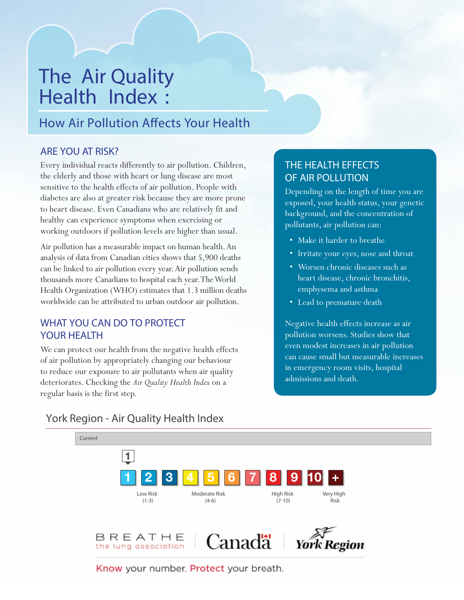# The Air Quality Health Index :

## How Air Pollution Affects Your Health

#### ARE YOU AT RISK?

Every individual reacts differently to air pollution. Children, the elderly and those with heart or lung disease are most sensitive to the health effects of air pollution. People with diabetes are also at greater risk because they are more prone to heart disease. Even Canadians who are relatively fit and healthy can experience symptoms when exercising or working outdoors if pollution levels are higher than usual.

Air pollution has a measurable impact on human health.An analysis of data from Canadian cities shows that 5,900 deaths can be linked to air pollution every year.Air pollution sends thousands more Canadians to hospital each year.TheWorld Health Organization (WHO) estimates that 1.3 million deaths worldwide can be attributed to urban outdoor air pollution.

#### WHAT YOU CAN DO TO PROTECT YOUR HEALTH

We can protect our health from the negative health effects of air pollution by appropriately changing our behaviour to reduce our exposure to air pollutants when air quality deteriorates. Checking the *Air Quality Health Index* on a regular basis is the first step.

#### THE HEALTH EFFECTS OF AIR POLLUTION

Depending on the length of time you are exposed, your health status, your genetic background, and the concentration of pollutants, air pollution can:

- Make it harder to breathe
- Irritate your eyes, nose and throat
- Worsen chronic diseases such as heart disease, chronic bronchitis, emphysema and asthma
- Lead to premature death

Negative health effects increase as air pollution worsens. Studies show that even modest increases in air pollution can cause small but measurable increases in emergency room visits, hospital admissions and death.



### York Region - Air Quality Health Index

Know your number. Protect your breath.